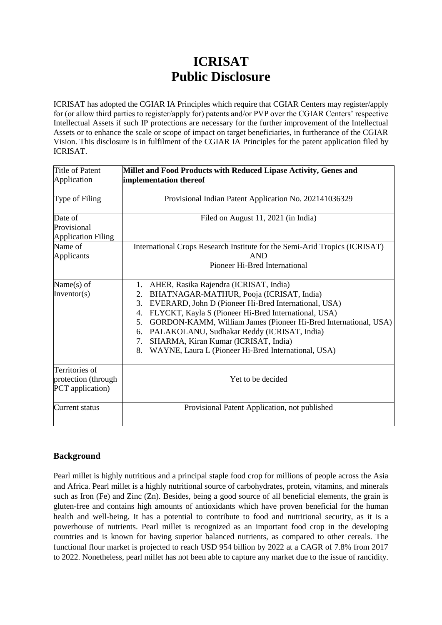# **ICRISAT Public Disclosure**

ICRISAT has adopted the CGIAR IA Principles which require that CGIAR Centers may register/apply for (or allow third parties to register/apply for) patents and/or PVP over the CGIAR Centers' respective Intellectual Assets if such IP protections are necessary for the further improvement of the Intellectual Assets or to enhance the scale or scope of impact on target beneficiaries, in furtherance of the CGIAR Vision. This disclosure is in fulfilment of the CGIAR IA Principles for the patent application filed by ICRISAT.

| Title of Patent<br>Application                            | Millet and Food Products with Reduced Lipase Activity, Genes and<br>implementation thereof                                                                                                                                                                                                                                                                                                                                                                          |
|-----------------------------------------------------------|---------------------------------------------------------------------------------------------------------------------------------------------------------------------------------------------------------------------------------------------------------------------------------------------------------------------------------------------------------------------------------------------------------------------------------------------------------------------|
| Type of Filing                                            | Provisional Indian Patent Application No. 202141036329                                                                                                                                                                                                                                                                                                                                                                                                              |
| Date of<br>Provisional<br><b>Application Filing</b>       | Filed on August 11, 2021 (in India)                                                                                                                                                                                                                                                                                                                                                                                                                                 |
| Name of<br>Applicants                                     | International Crops Research Institute for the Semi-Arid Tropics (ICRISAT)<br><b>AND</b><br>Pioneer Hi-Bred International                                                                                                                                                                                                                                                                                                                                           |
| Name $(s)$ of<br>Inventor( $s$ )                          | AHER, Rasika Rajendra (ICRISAT, India)<br>1.<br>BHATNAGAR-MATHUR, Pooja (ICRISAT, India)<br>2.<br>EVERARD, John D (Pioneer Hi-Bred International, USA)<br>3.<br>FLYCKT, Kayla S (Pioneer Hi-Bred International, USA)<br>4.<br>GORDON-KAMM, William James (Pioneer Hi-Bred International, USA)<br>5.<br>PALAKOLANU, Sudhakar Reddy (ICRISAT, India)<br>6.<br>SHARMA, Kiran Kumar (ICRISAT, India)<br>7.<br>WAYNE, Laura L (Pioneer Hi-Bred International, USA)<br>8. |
| Territories of<br>protection (through<br>PCT application) | Yet to be decided                                                                                                                                                                                                                                                                                                                                                                                                                                                   |
| Current status                                            | Provisional Patent Application, not published                                                                                                                                                                                                                                                                                                                                                                                                                       |

# **Background**

Pearl millet is highly nutritious and a principal staple food crop for millions of people across the Asia and Africa. Pearl millet is a highly nutritional source of carbohydrates, protein, vitamins, and minerals such as Iron (Fe) and Zinc (Zn). Besides, being a good source of all beneficial elements, the grain is gluten-free and contains high amounts of antioxidants which have proven beneficial for the human health and well-being. It has a potential to contribute to food and nutritional security, as it is a powerhouse of nutrients. Pearl millet is recognized as an important food crop in the developing countries and is known for having superior balanced nutrients, as compared to other cereals. The functional flour market is projected to reach USD 954 billion by 2022 at a CAGR of 7.8% from 2017 to 2022. Nonetheless, pearl millet has not been able to capture any market due to the issue of rancidity.